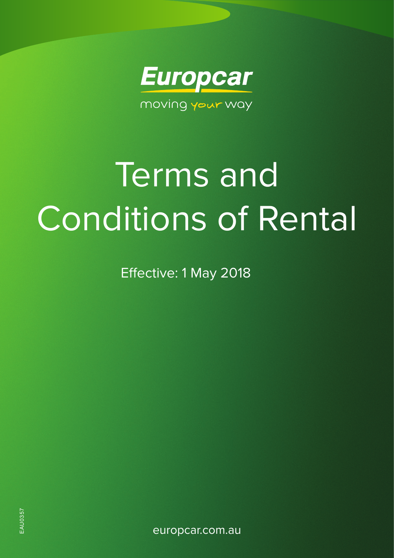

# Terms and Conditions of Rental

Effective: 1 May 2018

europcar.com.au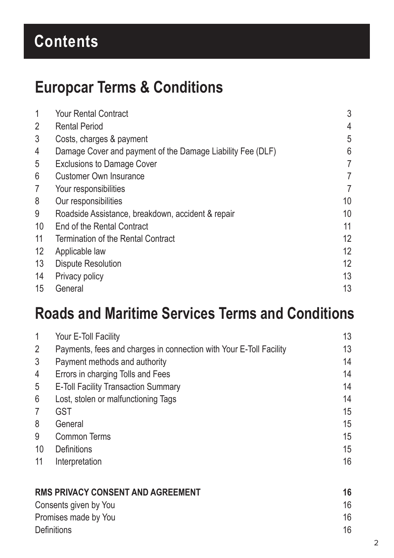# **Contents**

# **Europcar Terms & Conditions**

| 1              | <b>Your Rental Contract</b>                                | 3              |
|----------------|------------------------------------------------------------|----------------|
| $\overline{2}$ | <b>Rental Period</b>                                       | 4              |
| 3              | Costs, charges & payment                                   | 5              |
| 4              | Damage Cover and payment of the Damage Liability Fee (DLF) | 6              |
| 5              | <b>Exclusions to Damage Cover</b>                          | 7              |
| 6              | <b>Customer Own Insurance</b>                              | 7              |
| $\overline{7}$ | Your responsibilities                                      | $\overline{7}$ |
| 8              | Our responsibilities                                       | 10             |
| 9              | Roadside Assistance, breakdown, accident & repair          | 10             |
| 10             | End of the Rental Contract                                 | 11             |
| 11             | Termination of the Rental Contract                         | 12             |
| 12             | Applicable law                                             | 12             |
| 13             | <b>Dispute Resolution</b>                                  | 12             |
| 14             | Privacy policy                                             | 13             |
| 15             | General                                                    | 13             |

# **Roads and Maritime Services Terms and Conditions**

| $\mathbf 1$                              | Your E-Toll Facility                                               | 13 |
|------------------------------------------|--------------------------------------------------------------------|----|
| $\overline{2}$                           | Payments, fees and charges in connection with Your E-Toll Facility | 13 |
| $\mathfrak{Z}$                           | Payment methods and authority                                      | 14 |
| 4                                        | Errors in charging Tolls and Fees                                  | 14 |
| 5                                        | <b>E-Toll Facility Transaction Summary</b>                         | 14 |
| 6                                        | Lost, stolen or malfunctioning Tags                                | 14 |
| $\overline{7}$                           | <b>GST</b>                                                         | 15 |
| 8                                        | General                                                            | 15 |
| 9                                        | <b>Common Terms</b>                                                | 15 |
| 10                                       | <b>Definitions</b>                                                 | 15 |
| 11                                       | Interpretation                                                     | 16 |
| <b>RMS PRIVACY CONSENT AND AGREEMENT</b> |                                                                    | 16 |
| Consents given by You                    |                                                                    | 16 |

| Promises made by You |  |
|----------------------|--|
| <b>Definitions</b>   |  |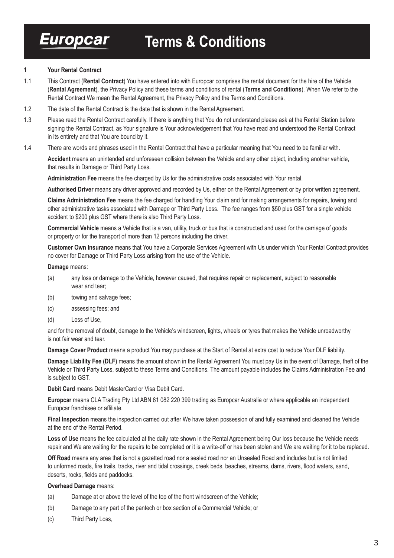#### **1 Your Rental Contract**

- 1.1 This Contract (**Rental Contract**) You have entered into with Europcar comprises the rental document for the hire of the Vehicle (**Rental Agreement**), the Privacy Policy and these terms and conditions of rental (**Terms and Conditions**). When We refer to the Rental Contract We mean the Rental Agreement, the Privacy Policy and the Terms and Conditions.
- 1.2 The date of the Rental Contract is the date that is shown in the Rental Agreement.
- 1.3 Please read the Rental Contract carefully. If there is anything that You do not understand please ask at the Rental Station before signing the Rental Contract, as Your signature is Your acknowledgement that You have read and understood the Rental Contract in its entirety and that You are bound by it.
- 1.4 There are words and phrases used in the Rental Contract that have a particular meaning that You need to be familiar with.

**Accident** means an unintended and unforeseen collision between the Vehicle and any other object, including another vehicle, that results in Damage or Third Party Loss.

**Administration Fee** means the fee charged by Us for the administrative costs associated with Your rental.

**Authorised Driver** means any driver approved and recorded by Us, either on the Rental Agreement or by prior written agreement.

**Claims Administration Fee** means the fee charged for handling Your claim and for making arrangements for repairs, towing and other administrative tasks associated with Damage or Third Party Loss. The fee ranges from \$50 plus GST for a single vehicle accident to \$200 plus GST where there is also Third Party Loss.

**Commercial Vehicle** means a Vehicle that is a van, utility, truck or bus that is constructed and used for the carriage of goods or property or for the transport of more than 12 persons including the driver.

**Customer Own Insurance** means that You have a Corporate Services Agreement with Us under which Your Rental Contract provides no cover for Damage or Third Party Loss arising from the use of the Vehicle.

#### **Damage** means:

- (a) any loss or damage to the Vehicle, however caused, that requires repair or replacement, subject to reasonable wear and tear;
- (b) towing and salvage fees;
- (c) assessing fees; and
- (d) Loss of Use,

and for the removal of doubt, damage to the Vehicle's windscreen, lights, wheels or tyres that makes the Vehicle unroadworthy is not fair wear and tear.

**Damage Cover Product** means a product You may purchase at the Start of Rental at extra cost to reduce Your DLF liability.

**Damage Liability Fee (DLF)** means the amount shown in the Rental Agreement You must pay Us in the event of Damage, theft of the Vehicle or Third Party Loss, subject to these Terms and Conditions. The amount payable includes the Claims Administration Fee and is subject to GST.

**Debit Card** means Debit MasterCard or Visa Debit Card.

**Europcar** means CLA Trading Pty Ltd ABN 81 082 220 399 trading as Europcar Australia or where applicable an independent Europcar franchisee or affiliate.

**Final Inspection** means the inspection carried out after We have taken possession of and fully examined and cleaned the Vehicle at the end of the Rental Period.

**Loss of Use** means the fee calculated at the daily rate shown in the Rental Agreement being Our loss because the Vehicle needs repair and We are waiting for the repairs to be completed or it is a write-off or has been stolen and We are waiting for it to be replaced.

**Off Road** means any area that is not a gazetted road nor a sealed road nor an Unsealed Road and includes but is not limited to unformed roads, fire trails, tracks, river and tidal crossings, creek beds, beaches, streams, dams, rivers, flood waters, sand, deserts, rocks, fields and paddocks.

#### **Overhead Damage** means:

- (a) Damage at or above the level of the top of the front windscreen of the Vehicle;
- (b) Damage to any part of the pantech or box section of a Commercial Vehicle; or
- (c) Third Party Loss,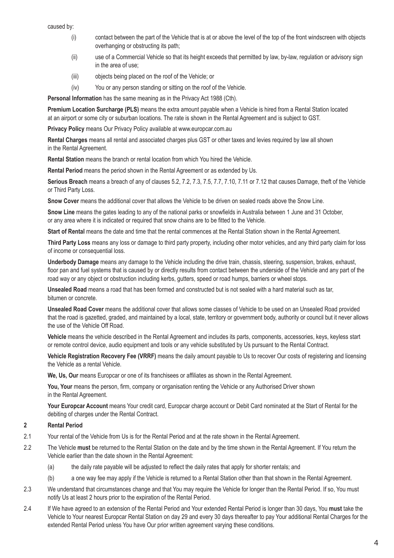caused by:

- (i) contact between the part of the Vehicle that is at or above the level of the top of the front windscreen with objects overhanging or obstructing its path;
- (ii) use of a Commercial Vehicle so that its height exceeds that permitted by law, by-law, regulation or advisory sign in the area of use;
- (iii) objects being placed on the roof of the Vehicle; or
- (iv) You or any person standing or sitting on the roof of the Vehicle.

**Personal Information** has the same meaning as in the Privacy Act 1988 (Cth).

**Premium Location Surcharge (PLS)** means the extra amount payable when a Vehicle is hired from a Rental Station located at an airport or some city or suburban locations. The rate is shown in the Rental Agreement and is subject to GST.

**Privacy Policy** means Our Privacy Policy available at www.europcar.com.au

**Rental Charges** means all rental and associated charges plus GST or other taxes and levies required by law all shown in the Rental Agreement.

**Rental Station** means the branch or rental location from which You hired the Vehicle.

**Rental Period** means the period shown in the Rental Agreement or as extended by Us.

**Serious Breach** means a breach of any of clauses 5.2, 7.2, 7.3, 7.5, 7.7, 7.10, 7.11 or 7.12 that causes Damage, theft of the Vehicle or Third Party Loss.

**Snow Cover** means the additional cover that allows the Vehicle to be driven on sealed roads above the Snow Line.

**Snow Line** means the gates leading to any of the national parks or snowfields in Australia between 1 June and 31 October, or any area where it is indicated or required that snow chains are to be fitted to the Vehicle.

**Start of Rental** means the date and time that the rental commences at the Rental Station shown in the Rental Agreement.

**Third Party Loss** means any loss or damage to third party property, including other motor vehicles, and any third party claim for loss of income or consequential loss.

**Underbody Damage** means any damage to the Vehicle including the drive train, chassis, steering, suspension, brakes, exhaust, floor pan and fuel systems that is caused by or directly results from contact between the underside of the Vehicle and any part of the road way or any object or obstruction including kerbs, gutters, speed or road humps, barriers or wheel stops.

**Unsealed Road** means a road that has been formed and constructed but is not sealed with a hard material such as tar, bitumen or concrete.

**Unsealed Road Cover** means the additional cover that allows some classes of Vehicle to be used on an Unsealed Road provided that the road is gazetted, graded, and maintained by a local, state, territory or government body, authority or council but it never allows the use of the Vehicle Off Road.

**Vehicle** means the vehicle described in the Rental Agreement and includes its parts, components, accessories, keys, keyless start or remote control device, audio equipment and tools or any vehicle substituted by Us pursuant to the Rental Contract.

**Vehicle Registration Recovery Fee (VRRF)** means the daily amount payable to Us to recover Our costs of registering and licensing the Vehicle as a rental Vehicle.

**We, Us, Our** means Europcar or one of its franchisees or affiliates as shown in the Rental Agreement.

**You, Your** means the person, firm, company or organisation renting the Vehicle or any Authorised Driver shown in the Rental Agreement.

**Your Europcar Account** means Your credit card, Europcar charge account or Debit Card nominated at the Start of Rental for the debiting of charges under the Rental Contract.

# **2 Rental Period**

- 2.1 Your rental of the Vehicle from Us is for the Rental Period and at the rate shown in the Rental Agreement.
- 2.2 The Vehicle **must** be returned to the Rental Station on the date and by the time shown in the Rental Agreement. If You return the Vehicle earlier than the date shown in the Rental Agreement:
	- (a) the daily rate payable will be adjusted to reflect the daily rates that apply for shorter rentals; and
	- (b) a one way fee may apply if the Vehicle is returned to a Rental Station other than that shown in the Rental Agreement.
- 2.3 We understand that circumstances change and that You may require the Vehicle for longer than the Rental Period. If so, You must notify Us at least 2 hours prior to the expiration of the Rental Period.
- 2.4 If We have agreed to an extension of the Rental Period and Your extended Rental Period is longer than 30 days, You **must** take the Vehicle to Your nearest Europcar Rental Station on day 29 and every 30 days thereafter to pay Your additional Rental Charges for the extended Rental Period unless You have Our prior written agreement varying these conditions.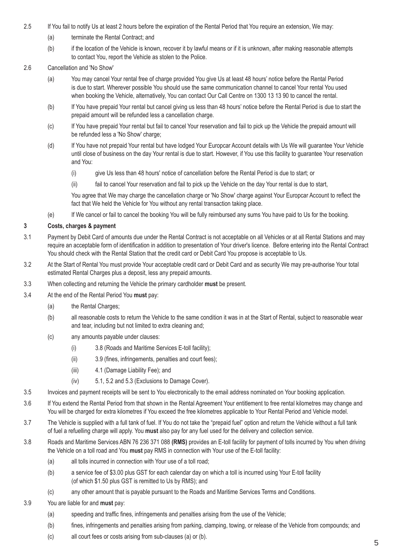- 2.5 If You fail to notify Us at least 2 hours before the expiration of the Rental Period that You require an extension, We may:
	- (a) terminate the Rental Contract; and
	- (b) if the location of the Vehicle is known, recover it by lawful means or if it is unknown, after making reasonable attempts to contact You, report the Vehicle as stolen to the Police.
- 2.6 Cancellation and 'No Show'
	- (a) You may cancel Your rental free of charge provided You give Us at least 48 hours' notice before the Rental Period is due to start. Wherever possible You should use the same communication channel to cancel Your rental You used when booking the Vehicle, alternatively, You can contact Our Call Centre on 1300 13 13 90 to cancel the rental.
	- (b) If You have prepaid Your rental but cancel giving us less than 48 hours' notice before the Rental Period is due to start the prepaid amount will be refunded less a cancellation charge.
	- (c) If You have prepaid Your rental but fail to cancel Your reservation and fail to pick up the Vehicle the prepaid amount will be refunded less a 'No Show' charge;
	- (d) If You have not prepaid Your rental but have lodged Your Europcar Account details with Us We will guarantee Your Vehicle until close of business on the day Your rental is due to start. However, if You use this facility to guarantee Your reservation and You:
		- (i) give Us less than 48 hours' notice of cancellation before the Rental Period is due to start; or
		- (ii) fail to cancel Your reservation and fail to pick up the Vehicle on the day Your rental is due to start,

 You agree that We may charge the cancellation charge or 'No Show' charge against Your Europcar Account to reflect the fact that We held the Vehicle for You without any rental transaction taking place.

(e) If We cancel or fail to cancel the booking You will be fully reimbursed any sums You have paid to Us for the booking.

# **3 Costs, charges & payment**

- 3.1 Payment by Debit Card of amounts due under the Rental Contract is not acceptable on all Vehicles or at all Rental Stations and may require an acceptable form of identification in addition to presentation of Your driver's licence. Before entering into the Rental Contract You should check with the Rental Station that the credit card or Debit Card You propose is acceptable to Us.
- 3.2 At the Start of Rental You must provide Your acceptable credit card or Debit Card and as security We may pre-authorise Your total estimated Rental Charges plus a deposit, less any prepaid amounts.
- 3.3 When collecting and returning the Vehicle the primary cardholder **must** be present.
- 3.4 At the end of the Rental Period You **must** pay:
	- (a) the Rental Charges;
	- (b) all reasonable costs to return the Vehicle to the same condition it was in at the Start of Rental, subject to reasonable wear and tear, including but not limited to extra cleaning and;
	- (c) any amounts payable under clauses:
		- (i) 3.8 (Roads and Maritime Services E-toll facility);
		- (ii) 3.9 (fines, infringements, penalties and court fees);
		- (iii) 4.1 (Damage Liability Fee); and
		- (iv) 5.1, 5.2 and 5.3 (Exclusions to Damage Cover).
- 3.5 Invoices and payment receipts will be sent to You electronically to the email address nominated on Your booking application.
- 3.6 If You extend the Rental Period from that shown in the Rental Agreement Your entitlement to free rental kilometres may change and You will be charged for extra kilometres if You exceed the free kilometres applicable to Your Rental Period and Vehicle model.
- 3.7 The Vehicle is supplied with a full tank of fuel. If You do not take the "prepaid fuel" option and return the Vehicle without a full tank of fuel a refuelling charge will apply. You **must** also pay for any fuel used for the delivery and collection service.
- 3.8 Roads and Maritime Services ABN 76 236 371 088 **(RMS)** provides an E-toll facility for payment of tolls incurred by You when driving the Vehicle on a toll road and You **must** pay RMS in connection with Your use of the E-toll facility:
	- (a) all tolls incurred in connection with Your use of a toll road;
	- (b) a service fee of \$3.00 plus GST for each calendar day on which a toll is incurred using Your E-toll facility (of which \$1.50 plus GST is remitted to Us by RMS); and
	- (c) any other amount that is payable pursuant to the Roads and Maritime Services Terms and Conditions.
- 3.9 You are liable for and **must** pay:
	- (a) speeding and traffic fines, infringements and penalties arising from the use of the Vehicle;
	- (b) fines, infringements and penalties arising from parking, clamping, towing, or release of the Vehicle from compounds; and
	- (c) all court fees or costs arising from sub-clauses (a) or (b).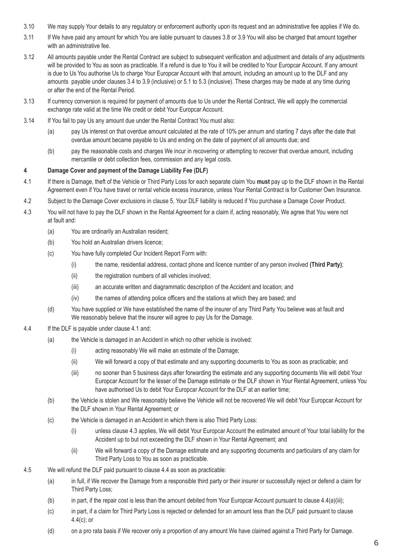- 3.10 We may supply Your details to any regulatory or enforcement authority upon its request and an administrative fee applies if We do.
- 3.11 If We have paid any amount for which You are liable pursuant to clauses 3.8 or 3.9 You will also be charged that amount together with an administrative fee.
- 3.12 All amounts payable under the Rental Contract are subject to subsequent verification and adjustment and details of any adjustments will be provided to You as soon as practicable. If a refund is due to You it will be credited to Your Europcar Account. If any amount is due to Us You authorise Us to charge Your Europcar Account with that amount, including an amount up to the DLF and any amounts payable under clauses 3.4 to 3.9 (inclusive) or 5.1 to 5.3 (inclusive). These charges may be made at any time during or after the end of the Rental Period.
- 3.13 If currency conversion is required for payment of amounts due to Us under the Rental Contract, We will apply the commercial exchange rate valid at the time We credit or debit Your Europcar Account.
- 3.14 If You fail to pay Us any amount due under the Rental Contract You must also:
	- (a) pay Us interest on that overdue amount calculated at the rate of 10% per annum and starting 7 days after the date that overdue amount became payable to Us and ending on the date of payment of all amounts due; and
	- (b) pay the reasonable costs and charges We incur in recovering or attempting to recover that overdue amount, including mercantile or debt collection fees, commission and any legal costs.

# **4 Damage Cover and payment of the Damage Liability Fee (DLF)**

- 4.1 If there is Damage, theft of the Vehicle or Third Party Loss for each separate claim You **must** pay up to the DLF shown in the Rental Agreement even if You have travel or rental vehicle excess insurance, unless Your Rental Contract is for Customer Own Insurance.
- 4.2 Subject to the Damage Cover exclusions in clause 5, Your DLF liability is reduced if You purchase a Damage Cover Product.
- 4.3 You will not have to pay the DLF shown in the Rental Agreement for a claim if, acting reasonably, We agree that You were not at fault and:
	- (a) You are ordinarily an Australian resident;
	- (b) You hold an Australian drivers licence;
	- (c) You have fully completed Our Incident Report Form with:
		- (i) the name, residential address, contact phone and licence number of any person involved **(Third Party)**;
		- (ii) the registration numbers of all vehicles involved;
		- (iii) an accurate written and diagrammatic description of the Accident and location; and
		- (iv) the names of attending police officers and the stations at which they are based; and
	- (d) You have supplied or We have established the name of the insurer of any Third Party You believe was at fault and We reasonably believe that the insurer will agree to pay Us for the Damage.
- 4.4 If the DLF is payable under clause 4.1 and:
	- (a) the Vehicle is damaged in an Accident in which no other vehicle is involved:
		- (i) acting reasonably We will make an estimate of the Damage;
		- (ii) We will forward a copy of that estimate and any supporting documents to You as soon as practicable; and
		- (iii) no sooner than 5 business days after forwarding the estimate and any supporting documents We will debit Your Europcar Account for the lesser of the Damage estimate or the DLF shown in Your Rental Agreement, unless You have authorised Us to debit Your Europcar Account for the DLF at an earlier time;
	- (b) the Vehicle is stolen and We reasonably believe the Vehicle will not be recovered We will debit Your Europcar Account for the DLF shown in Your Rental Agreement; or
	- (c) the Vehicle is damaged in an Accident in which there is also Third Party Loss:
		- (i) unless clause 4.3 applies, We will debit Your Europcar Account the estimated amount of Your total liability for the Accident up to but not exceeding the DLF shown in Your Rental Agreement; and
		- (ii) We will forward a copy of the Damage estimate and any supporting documents and particulars of any claim for Third Party Loss to You as soon as practicable.
- 4.5 We will refund the DLF paid pursuant to clause 4.4 as soon as practicable:
	- (a) in full, if We recover the Damage from a responsible third party or their insurer or successfully reject or defend a claim for Third Party Loss;
	- (b) in part, if the repair cost is less than the amount debited from Your Europcar Account pursuant to clause 4.4(a)(iii);
	- (c) in part, if a claim for Third Party Loss is rejected or defended for an amount less than the DLF paid pursuant to clause 4.4(c); or
	- (d) on a pro rata basis if We recover only a proportion of any amount We have claimed against a Third Party for Damage.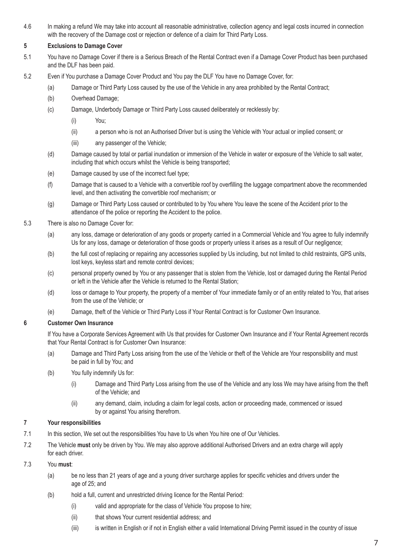4.6 In making a refund We may take into account all reasonable administrative, collection agency and legal costs incurred in connection with the recovery of the Damage cost or rejection or defence of a claim for Third Party Loss.

# **5 Exclusions to Damage Cover**

- 5.1 You have no Damage Cover if there is a Serious Breach of the Rental Contract even if a Damage Cover Product has been purchased and the DLF has been paid.
- 5.2 Even if You purchase a Damage Cover Product and You pay the DLF You have no Damage Cover, for:
	- (a) Damage or Third Party Loss caused by the use of the Vehicle in any area prohibited by the Rental Contract;
	- (b) Overhead Damage;
	- (c) Damage, Underbody Damage or Third Party Loss caused deliberately or recklessly by:
		- (i) You;
		- (ii) a person who is not an Authorised Driver but is using the Vehicle with Your actual or implied consent; or
		- (iii) any passenger of the Vehicle;
	- (d) Damage caused by total or partial inundation or immersion of the Vehicle in water or exposure of the Vehicle to salt water, including that which occurs whilst the Vehicle is being transported;
	- (e) Damage caused by use of the incorrect fuel type;
	- (f) Damage that is caused to a Vehicle with a convertible roof by overfilling the luggage compartment above the recommended level, and then activating the convertible roof mechanism; or
	- (g) Damage or Third Party Loss caused or contributed to by You where You leave the scene of the Accident prior to the attendance of the police or reporting the Accident to the police.
- 5.3 There is also no Damage Cover for:
	- (a) any loss, damage or deterioration of any goods or property carried in a Commercial Vehicle and You agree to fully indemnify Us for any loss, damage or deterioration of those goods or property unless it arises as a result of Our negligence;
	- (b) the full cost of replacing or repairing any accessories supplied by Us including, but not limited to child restraints, GPS units, lost keys, keyless start and remote control devices;
	- (c) personal property owned by You or any passenger that is stolen from the Vehicle, lost or damaged during the Rental Period or left in the Vehicle after the Vehicle is returned to the Rental Station;
	- (d) loss or damage to Your property, the property of a member of Your immediate family or of an entity related to You, that arises from the use of the Vehicle; or
	- (e) Damage, theft of the Vehicle or Third Party Loss if Your Rental Contract is for Customer Own Insurance.

### **6 Customer Own Insurance**

If You have a Corporate Services Agreement with Us that provides for Customer Own Insurance and if Your Rental Agreement records that Your Rental Contract is for Customer Own Insurance:

- (a) Damage and Third Party Loss arising from the use of the Vehicle or theft of the Vehicle are Your responsibility and must be paid in full by You; and
- (b) You fully indemnify Us for:
	- (i) Damage and Third Party Loss arising from the use of the Vehicle and any loss We may have arising from the theft of the Vehicle; and
	- (ii) any demand, claim, including a claim for legal costs, action or proceeding made, commenced or issued by or against You arising therefrom.

### **7 Your responsibilities**

- 7.1 In this section, We set out the responsibilities You have to Us when You hire one of Our Vehicles.
- 7.2 The Vehicle **must** only be driven by You. We may also approve additional Authorised Drivers and an extra charge will apply for each driver.

# 7.3 You **must**:

- (a) be no less than 21 years of age and a young driver surcharge applies for specific vehicles and drivers under the age of 25; and
- (b) hold a full, current and unrestricted driving licence for the Rental Period:
	- (i) valid and appropriate for the class of Vehicle You propose to hire;
	- (ii) that shows Your current residential address; and
	- (iii) is written in English or if not in English either a valid International Driving Permit issued in the country of issue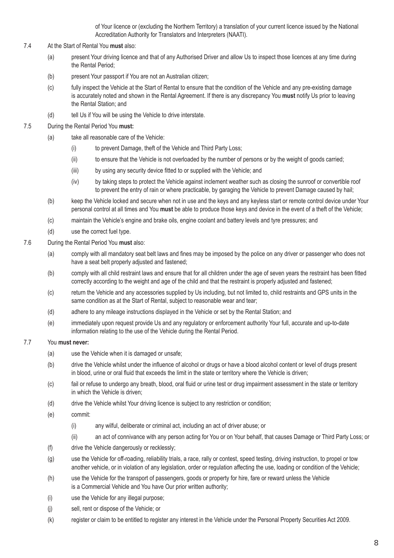of Your licence or (excluding the Northern Territory) a translation of your current licence issued by the National Accreditation Authority for Translators and Interpreters (NAATI).

- 7.4 At the Start of Rental You **must** also:
	- (a) present Your driving licence and that of any Authorised Driver and allow Us to inspect those licences at any time during the Rental Period;
	- (b) present Your passport if You are not an Australian citizen;
	- (c) fully inspect the Vehicle at the Start of Rental to ensure that the condition of the Vehicle and any pre-existing damage is accurately noted and shown in the Rental Agreement. If there is any discrepancy You **must** notify Us prior to leaving the Rental Station; and
	- (d) tell Us if You will be using the Vehicle to drive interstate.
- 7.5 During the Rental Period You **must:**
	- (a) take all reasonable care of the Vehicle:
		- (i) to prevent Damage, theft of the Vehicle and Third Party Loss;
		- (ii) to ensure that the Vehicle is not overloaded by the number of persons or by the weight of goods carried;
		- (iii) by using any security device fitted to or supplied with the Vehicle; and
		- (iv) by taking steps to protect the Vehicle against inclement weather such as closing the sunroof or convertible roof to prevent the entry of rain or where practicable, by garaging the Vehicle to prevent Damage caused by hail;
	- (b) keep the Vehicle locked and secure when not in use and the keys and any keyless start or remote control device under Your personal control at all times and You **must** be able to produce those keys and device in the event of a theft of the Vehicle;
	- (c) maintain the Vehicle's engine and brake oils, engine coolant and battery levels and tyre pressures; and
	- (d) use the correct fuel type.
- 7.6 During the Rental Period You **must** also:
	- (a) comply with all mandatory seat belt laws and fines may be imposed by the police on any driver or passenger who does not have a seat belt properly adjusted and fastened;
	- (b) comply with all child restraint laws and ensure that for all children under the age of seven years the restraint has been fitted correctly according to the weight and age of the child and that the restraint is properly adjusted and fastened;
	- (c) return the Vehicle and any accessories supplied by Us including, but not limited to, child restraints and GPS units in the same condition as at the Start of Rental, subject to reasonable wear and tear;
	- (d) adhere to any mileage instructions displayed in the Vehicle or set by the Rental Station; and
	- (e) immediately upon request provide Us and any regulatory or enforcement authority Your full, accurate and up-to-date information relating to the use of the Vehicle during the Rental Period.

#### 7.7 You **must never:**

- (a) use the Vehicle when it is damaged or unsafe;
- (b) drive the Vehicle whilst under the influence of alcohol or drugs or have a blood alcohol content or level of drugs present in blood, urine or oral fluid that exceeds the limit in the state or territory where the Vehicle is driven;
- (c) fail or refuse to undergo any breath, blood, oral fluid or urine test or drug impairment assessment in the state or territory in which the Vehicle is driven;
- (d) drive the Vehicle whilst Your driving licence is subject to any restriction or condition;
- (e) commit:
	- (i) any wilful, deliberate or criminal act, including an act of driver abuse; or
	- (ii) an act of connivance with any person acting for You or on Your behalf, that causes Damage or Third Party Loss; or
- (f) drive the Vehicle dangerously or recklessly;
- (g) use the Vehicle for off-roading, reliability trials, a race, rally or contest, speed testing, driving instruction, to propel or tow another vehicle, or in violation of any legislation, order or regulation affecting the use, loading or condition of the Vehicle;
- (h) use the Vehicle for the transport of passengers, goods or property for hire, fare or reward unless the Vehicle is a Commercial Vehicle and You have Our prior written authority;
- (i) use the Vehicle for any illegal purpose;
- (j) sell, rent or dispose of the Vehicle; or
- (k) register or claim to be entitled to register any interest in the Vehicle under the Personal Property Securities Act 2009.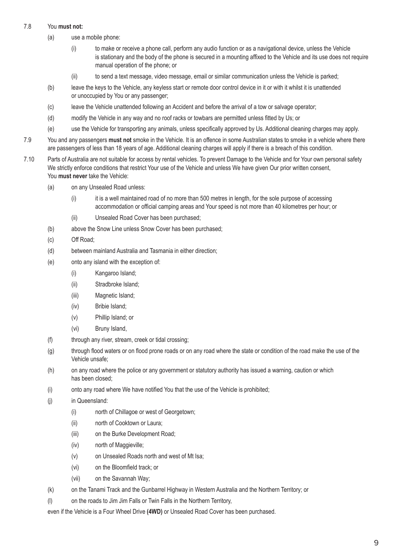# 7.8 You **must not:**

- (a) use a mobile phone:
	- (i) to make or receive a phone call, perform any audio function or as a navigational device, unless the Vehicle is stationary and the body of the phone is secured in a mounting affixed to the Vehicle and its use does not require manual operation of the phone; or
	- (ii) to send a text message, video message, email or similar communication unless the Vehicle is parked;
- (b) leave the keys to the Vehicle, any keyless start or remote door control device in it or with it whilst it is unattended or unoccupied by You or any passenger;
- (c) leave the Vehicle unattended following an Accident and before the arrival of a tow or salvage operator;
- (d) modify the Vehicle in any way and no roof racks or towbars are permitted unless fitted by Us; or
- (e) use the Vehicle for transporting any animals, unless specifically approved by Us. Additional cleaning charges may apply.
- 7.9 You and any passengers **must not** smoke in the Vehicle. It is an offence in some Australian states to smoke in a vehicle where there are passengers of less than 18 years of age. Additional cleaning charges will apply if there is a breach of this condition.
- 7.10 Parts of Australia are not suitable for access by rental vehicles. To prevent Damage to the Vehicle and for Your own personal safety We strictly enforce conditions that restrict Your use of the Vehicle and unless We have given Our prior written consent, You **must never** take the Vehicle:
	- (a) on any Unsealed Road unless:
		- (i) it is a well maintained road of no more than 500 metres in length, for the sole purpose of accessing accommodation or official camping areas and Your speed is not more than 40 kilometres per hour; or
		- (ii) Unsealed Road Cover has been purchased;
	- (b) above the Snow Line unless Snow Cover has been purchased;
	- (c) Off Road;
	- (d) between mainland Australia and Tasmania in either direction;
	- (e) onto any island with the exception of:
		- (i) Kangaroo Island;
		- (ii) Stradbroke Island;
		- (iii) Magnetic Island;
		- (iv) Bribie Island;
		- (v) Phillip Island; or
		- (vi) Bruny Island,
	- (f) through any river, stream, creek or tidal crossing;
	- (g) through flood waters or on flood prone roads or on any road where the state or condition of the road make the use of the Vehicle unsafe;
	- (h) on any road where the police or any government or statutory authority has issued a warning, caution or which has been closed;
	- (i) onto any road where We have notified You that the use of the Vehicle is prohibited;
	- (j) in Queensland:
		- (i) north of Chillagoe or west of Georgetown;
		- (ii) north of Cooktown or Laura;
		- (iii) on the Burke Development Road;
		- (iv) north of Maggieville;
		- (v) on Unsealed Roads north and west of Mt Isa;
		- (vi) on the Bloomfield track; or
		- (vii) on the Savannah Way;
	- (k) on the Tanami Track and the Gunbarrel Highway in Western Australia and the Northern Territory; or
	- (I) on the roads to Jim Jim Falls or Twin Falls in the Northern Territory,

even if the Vehicle is a Four Wheel Drive **(4WD)** or Unsealed Road Cover has been purchased.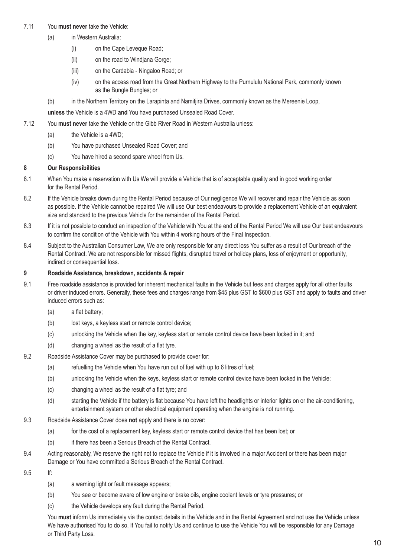## 7.11 You **must never** take the Vehicle:

- (a) in Western Australia:
	- (i) on the Cape Leveque Road;
	- (ii) on the road to Windjana Gorge;
	- (iii) on the Cardabia Ningaloo Road; or
	- (iv) on the access road from the Great Northern Highway to the Purnululu National Park, commonly known as the Bungle Bungles; or
- (b) in the Northern Territory on the Larapinta and Namitjira Drives, commonly known as the Mereenie Loop,

**unless** the Vehicle is a 4WD **and** You have purchased Unsealed Road Cover.

- 7.12 You **must never** take the Vehicle on the Gibb River Road in Western Australia unless:
	- (a) the Vehicle is a 4WD;
	- (b) You have purchased Unsealed Road Cover; and
	- (c) You have hired a second spare wheel from Us.

# **8 Our Responsibilities**

- 8.1 When You make a reservation with Us We will provide a Vehicle that is of acceptable quality and in good working order for the Rental Period.
- 8.2 If the Vehicle breaks down during the Rental Period because of Our negligence We will recover and repair the Vehicle as soon as possible. If the Vehicle cannot be repaired We will use Our best endeavours to provide a replacement Vehicle of an equivalent size and standard to the previous Vehicle for the remainder of the Rental Period.
- 8.3 If it is not possible to conduct an inspection of the Vehicle with You at the end of the Rental Period We will use Our best endeavours to confirm the condition of the Vehicle with You within 4 working hours of the Final Inspection.
- 8.4 Subject to the Australian Consumer Law, We are only responsible for any direct loss You suffer as a result of Our breach of the Rental Contract. We are not responsible for missed flights, disrupted travel or holiday plans, loss of enjoyment or opportunity, indirect or consequential loss.

# **9 Roadside Assistance, breakdown, accidents & repair**

- 9.1 Free roadside assistance is provided for inherent mechanical faults in the Vehicle but fees and charges apply for all other faults or driver induced errors. Generally, these fees and charges range from \$45 plus GST to \$600 plus GST and apply to faults and driver induced errors such as:
	- (a) a flat battery;
	- (b) lost keys, a keyless start or remote control device;
	- (c) unlocking the Vehicle when the key, keyless start or remote control device have been locked in it; and
	- (d) changing a wheel as the result of a flat tyre.
- 9.2 Roadside Assistance Cover may be purchased to provide cover for:
	- (a) refuelling the Vehicle when You have run out of fuel with up to 6 litres of fuel;
	- (b) unlocking the Vehicle when the keys, keyless start or remote control device have been locked in the Vehicle;
	- (c) changing a wheel as the result of a flat tyre; and
	- (d) starting the Vehicle if the battery is flat because You have left the headlights or interior lights on or the air-conditioning, entertainment system or other electrical equipment operating when the engine is not running.
- 9.3 Roadside Assistance Cover does **not** apply and there is no cover:
	- (a) for the cost of a replacement key, keyless start or remote control device that has been lost; or
	- (b) if there has been a Serious Breach of the Rental Contract.
- 9.4 Acting reasonably, We reserve the right not to replace the Vehicle if it is involved in a major Accident or there has been major Damage or You have committed a Serious Breach of the Rental Contract.
- 9.5 If:
	- (a) a warning light or fault message appears;
	- (b) You see or become aware of low engine or brake oils, engine coolant levels or tyre pressures; or
	- (c) the Vehicle develops any fault during the Rental Period,

You **must** inform Us immediately via the contact details in the Vehicle and in the Rental Agreement and not use the Vehicle unless We have authorised You to do so. If You fail to notify Us and continue to use the Vehicle You will be responsible for any Damage or Third Party Loss.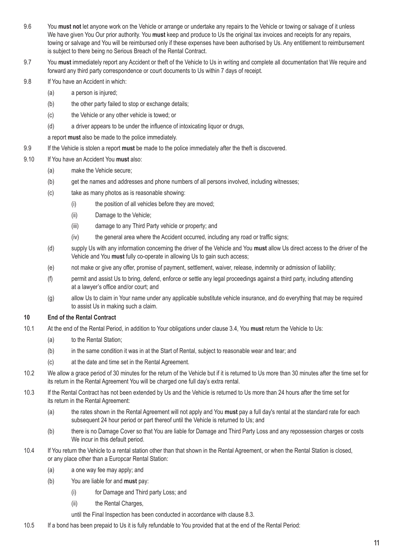- 9.6 You **must not** let anyone work on the Vehicle or arrange or undertake any repairs to the Vehicle or towing or salvage of it unless We have given You Our prior authority. You **must** keep and produce to Us the original tax invoices and receipts for any repairs, towing or salvage and You will be reimbursed only if these expenses have been authorised by Us. Any entitlement to reimbursement is subject to there being no Serious Breach of the Rental Contract.
- 9.7 You **must** immediately report any Accident or theft of the Vehicle to Us in writing and complete all documentation that We require and forward any third party correspondence or court documents to Us within 7 days of receipt.
- 9.8 If You have an Accident in which:
	- (a) a person is injured;
	- (b) the other party failed to stop or exchange details;
	- (c) the Vehicle or any other vehicle is towed; or
	- (d) a driver appears to be under the influence of intoxicating liquor or drugs,
	- a report **must** also be made to the police immediately.
- 9.9 If the Vehicle is stolen a report **must** be made to the police immediately after the theft is discovered.
- 9.10 If You have an Accident You **must** also:
	- (a) make the Vehicle secure;
	- (b) get the names and addresses and phone numbers of all persons involved, including witnesses;
	- (c) take as many photos as is reasonable showing:
		- (i) the position of all vehicles before they are moved;
		- (ii) Damage to the Vehicle;
		- (iii) damage to any Third Party vehicle or property; and
		- (iv) the general area where the Accident occurred, including any road or traffic signs;
	- (d) supply Us with any information concerning the driver of the Vehicle and You **must** allow Us direct access to the driver of the Vehicle and You **must** fully co-operate in allowing Us to gain such access;
	- (e) not make or give any offer, promise of payment, settlement, waiver, release, indemnity or admission of liability;
	- (f) permit and assist Us to bring, defend, enforce or settle any legal proceedings against a third party, including attending at a lawyer's office and/or court; and
	- (g) allow Us to claim in Your name under any applicable substitute vehicle insurance, and do everything that may be required to assist Us in making such a claim.

### **10 End of the Rental Contract**

- 10.1 At the end of the Rental Period, in addition to Your obligations under clause 3.4, You **must** return the Vehicle to Us:
	- (a) to the Rental Station:
	- (b) in the same condition it was in at the Start of Rental, subject to reasonable wear and tear; and
	- (c) at the date and time set in the Rental Agreement.
- 10.2 We allow a grace period of 30 minutes for the return of the Vehicle but if it is returned to Us more than 30 minutes after the time set for its return in the Rental Agreement You will be charged one full day's extra rental.
- 10.3 If the Rental Contract has not been extended by Us and the Vehicle is returned to Us more than 24 hours after the time set for its return in the Rental Agreement:
	- (a) the rates shown in the Rental Agreement will not apply and You **must** pay a full day's rental at the standard rate for each subsequent 24 hour period or part thereof until the Vehicle is returned to Us; and
	- (b) there is no Damage Cover so that You are liable for Damage and Third Party Loss and any repossession charges or costs We incur in this default period.
- 10.4 If You return the Vehicle to a rental station other than that shown in the Rental Agreement, or when the Rental Station is closed, or any place other than a Europcar Rental Station:
	- (a) a one way fee may apply; and
	- (b) You are liable for and **must** pay:
		- (i) for Damage and Third party Loss; and
		- (ii) the Rental Charges,

until the Final Inspection has been conducted in accordance with clause 8.3.

10.5 If a bond has been prepaid to Us it is fully refundable to You provided that at the end of the Rental Period: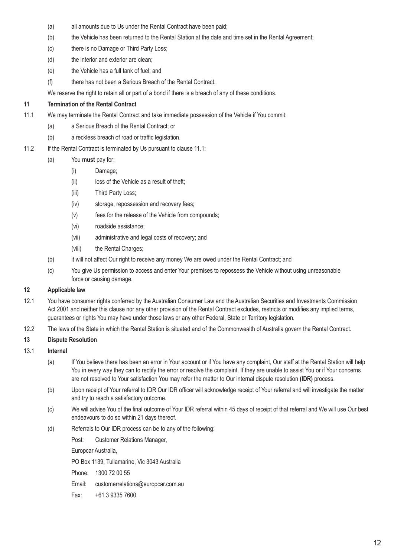- (a) all amounts due to Us under the Rental Contract have been paid;
- (b) the Vehicle has been returned to the Rental Station at the date and time set in the Rental Agreement;
- (c) there is no Damage or Third Party Loss;
- (d) the interior and exterior are clean;
- (e) the Vehicle has a full tank of fuel; and
- (f) there has not been a Serious Breach of the Rental Contract.

We reserve the right to retain all or part of a bond if there is a breach of any of these conditions.

# **11 Termination of the Rental Contract**

- 11.1 We may terminate the Rental Contract and take immediate possession of the Vehicle if You commit:
	- (a) a Serious Breach of the Rental Contract; or
	- (b) a reckless breach of road or traffic legislation.
- 11.2 If the Rental Contract is terminated by Us pursuant to clause 11.1:
	- (a) You **must** pay for:
		- (i) Damage;
		- (ii) loss of the Vehicle as a result of theft;
		- (iii) Third Party Loss;
		- (iv) storage, repossession and recovery fees;
		- (v) fees for the release of the Vehicle from compounds;
		- (vi) roadside assistance;
		- (vii) administrative and legal costs of recovery; and
		- (viii) the Rental Charges;
	- (b) it will not affect Our right to receive any money We are owed under the Rental Contract; and
	- (c) You give Us permission to access and enter Your premises to repossess the Vehicle without using unreasonable force or causing damage.

# **12 Applicable law**

- 12.1 You have consumer rights conferred by the Australian Consumer Law and the Australian Securities and Investments Commission Act 2001 and neither this clause nor any other provision of the Rental Contract excludes, restricts or modifies any implied terms, guarantees or rights You may have under those laws or any other Federal, State or Territory legislation.
- 12.2 The laws of the State in which the Rental Station is situated and of the Commonwealth of Australia govern the Rental Contract.

# **13 Dispute Resolution**

### 13.1 **Internal**

- (a) If You believe there has been an error in Your account or if You have any complaint, Our staff at the Rental Station will help You in every way they can to rectify the error or resolve the complaint. If they are unable to assist You or if Your concerns are not resolved to Your satisfaction You may refer the matter to Our internal dispute resolution **(IDR)** process.
- (b) Upon receipt of Your referral to IDR Our IDR officer will acknowledge receipt of Your referral and will investigate the matter and try to reach a satisfactory outcome.
- (c) We will advise You of the final outcome of Your IDR referral within 45 days of receipt of that referral and We will use Our best endeavours to do so within 21 days thereof.
- (d) Referrals to Our IDR process can be to any of the following:

Post: Customer Relations Manager,

Europcar Australia,

PO Box 1139, Tullamarine, Vic 3043 Australia

Phone: 1300 72 00 55

Email: customerrelations@europcar.com.au

Fax: +61 3 9335 7600.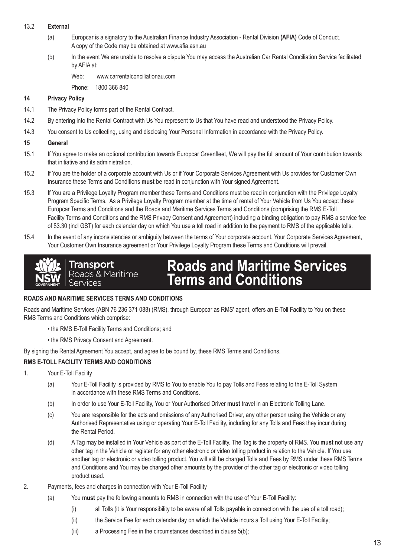### 13.2 **External**

- (a) Europcar is a signatory to the Australian Finance Industry Association Rental Division **(AFIA)** Code of Conduct. A copy of the Code may be obtained at www.afia.asn.au
- (b) In the event We are unable to resolve a dispute You may access the Australian Car Rental Conciliation Service facilitated by AFIA at:

Web: www.carrentalconciliationau.com

Phone: 1800 366 840

## **14 Privacy Policy**

- 14.1 The Privacy Policy forms part of the Rental Contract.
- 14.2 By entering into the Rental Contract with Us You represent to Us that You have read and understood the Privacy Policy.
- 14.3 You consent to Us collecting, using and disclosing Your Personal Information in accordance with the Privacy Policy.

#### **15 General**

- 15.1 If You agree to make an optional contribution towards Europcar Greenfleet, We will pay the full amount of Your contribution towards that initiative and its administration.
- 15.2 If You are the holder of a corporate account with Us or if Your Corporate Services Agreement with Us provides for Customer Own Insurance these Terms and Conditions **must** be read in conjunction with Your signed Agreement.
- 15.3 If You are a Privilege Loyalty Program member these Terms and Conditions must be read in conjunction with the Privilege Loyalty Program Specific Terms. As a Privilege Loyalty Program member at the time of rental of Your Vehicle from Us You accept these Europcar Terms and Conditions and the Roads and Maritime Services Terms and Conditions (comprising the RMS E-Toll Facility Terms and Conditions and the RMS Privacy Consent and Agreement) including a binding obligation to pay RMS a service fee of \$3.30 (incl GST) for each calendar day on which You use a toll road in addition to the payment to RMS of the applicable tolls.
- 15.4 In the event of any inconsistencies or ambiguity between the terms of Your corporate account, Your Corporate Services Agreement, Your Customer Own Insurance agreement or Your Privilege Loyalty Program these Terms and Conditions will prevail.



### **ROADS AND MARITIME SERVICES TERMS AND CONDITIONS**

Roads and Maritime Services (ABN 76 236 371 088) (RMS), through Europcar as RMS' agent, offers an E-Toll Facility to You on these RMS Terms and Conditions which comprise:

- the RMS E-Toll Facility Terms and Conditions; and
- the RMS Privacy Consent and Agreement.

By signing the Rental Agreement You accept, and agree to be bound by, these RMS Terms and Conditions.

### **RMS E-TOLL FACILITY TERMS AND CONDITIONS**

- 1. Your E-Toll Facility
	- (a) Your E-Toll Facility is provided by RMS to You to enable You to pay Tolls and Fees relating to the E-Toll System in accordance with these RMS Terms and Conditions.
	- (b) In order to use Your E-Toll Facility, You or Your Authorised Driver **must** travel in an Electronic Tolling Lane.
	- (c) You are responsible for the acts and omissions of any Authorised Driver, any other person using the Vehicle or any Authorised Representative using or operating Your E-Toll Facility, including for any Tolls and Fees they incur during the Rental Period.
	- (d) A Tag may be installed in Your Vehicle as part of the E-Toll Facility. The Tag is the property of RMS. You **must** not use any other tag in the Vehicle or register for any other electronic or video tolling product in relation to the Vehicle. If You use another tag or electronic or video tolling product, You will still be charged Tolls and Fees by RMS under these RMS Terms and Conditions and You may be charged other amounts by the provider of the other tag or electronic or video tolling product used.
- 2. Payments, fees and charges in connection with Your E-Toll Facility
	- (a) You **must** pay the following amounts to RMS in connection with the use of Your E-Toll Facility:
		- (i) all Tolls (it is Your responsibility to be aware of all Tolls payable in connection with the use of a toll road);
		- (ii) the Service Fee for each calendar day on which the Vehicle incurs a Toll using Your E-Toll Facility;
		- (iii) a Processing Fee in the circumstances described in clause 5(b);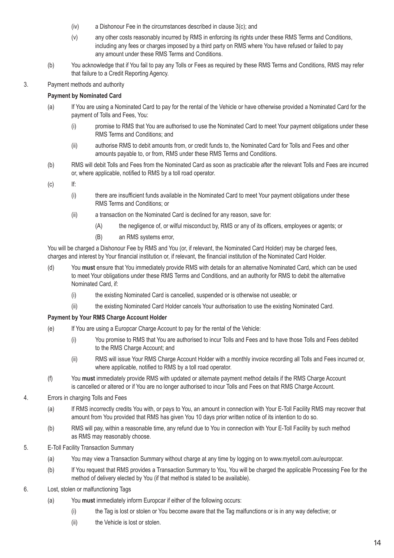- (iv) a Dishonour Fee in the circumstances described in clause 3(c); and
- (v) any other costs reasonably incurred by RMS in enforcing its rights under these RMS Terms and Conditions, including any fees or charges imposed by a third party on RMS where You have refused or failed to pay any amount under these RMS Terms and Conditions.
- (b) You acknowledge that if You fail to pay any Tolls or Fees as required by these RMS Terms and Conditions, RMS may refer that failure to a Credit Reporting Agency.
- 3. Payment methods and authority

# **Payment by Nominated Card**

- (a) If You are using a Nominated Card to pay for the rental of the Vehicle or have otherwise provided a Nominated Card for the payment of Tolls and Fees, You:
	- (i) promise to RMS that You are authorised to use the Nominated Card to meet Your payment obligations under these RMS Terms and Conditions; and
	- (ii) authorise RMS to debit amounts from, or credit funds to, the Nominated Card for Tolls and Fees and other amounts payable to, or from, RMS under these RMS Terms and Conditions.
- (b) RMS will debit Tolls and Fees from the Nominated Card as soon as practicable after the relevant Tolls and Fees are incurred or, where applicable, notified to RMS by a toll road operator.
- (c) If:
	- (i) there are insufficient funds available in the Nominated Card to meet Your payment obligations under these RMS Terms and Conditions; or
	- (ii) a transaction on the Nominated Card is declined for any reason, save for:
		- (A) the negligence of, or wilful misconduct by, RMS or any of its officers, employees or agents; or
		- (B) an RMS systems error,

You will be charged a Dishonour Fee by RMS and You (or, if relevant, the Nominated Card Holder) may be charged fees, charges and interest by Your financial institution or, if relevant, the financial institution of the Nominated Card Holder.

- (d) You **must** ensure that You immediately provide RMS with details for an alternative Nominated Card, which can be used to meet Your obligations under these RMS Terms and Conditions, and an authority for RMS to debit the alternative Nominated Card, if:
	- (i) the existing Nominated Card is cancelled, suspended or is otherwise not useable; or
	- (ii) the existing Nominated Card Holder cancels Your authorisation to use the existing Nominated Card.

### **Payment by Your RMS Charge Account Holder**

- (e) If You are using a Europcar Charge Account to pay for the rental of the Vehicle:
	- (i) You promise to RMS that You are authorised to incur Tolls and Fees and to have those Tolls and Fees debited to the RMS Charge Account; and
	- (ii) RMS will issue Your RMS Charge Account Holder with a monthly invoice recording all Tolls and Fees incurred or, where applicable, notified to RMS by a toll road operator.
- (f) You **must** immediately provide RMS with updated or alternate payment method details if the RMS Charge Account is cancelled or altered or if You are no longer authorised to incur Tolls and Fees on that RMS Charge Account.
- 4. Errors in charging Tolls and Fees
	- (a) If RMS incorrectly credits You with, or pays to You, an amount in connection with Your E-Toll Facility RMS may recover that amount from You provided that RMS has given You 10 days prior written notice of its intention to do so.
	- (b) RMS will pay, within a reasonable time, any refund due to You in connection with Your E-Toll Facility by such method as RMS may reasonably choose.
- 5. E-Toll Facility Transaction Summary
	- (a) You may view a Transaction Summary without charge at any time by logging on to www.myetoll.com.au/europcar.
	- (b) If You request that RMS provides a Transaction Summary to You, You will be charged the applicable Processing Fee for the method of delivery elected by You (if that method is stated to be available).
- 6. Lost, stolen or malfunctioning Tags
	- (a) You **must** immediately inform Europcar if either of the following occurs:
		- (i) the Tag is lost or stolen or You become aware that the Tag malfunctions or is in any way defective; or
		- (ii) the Vehicle is lost or stolen.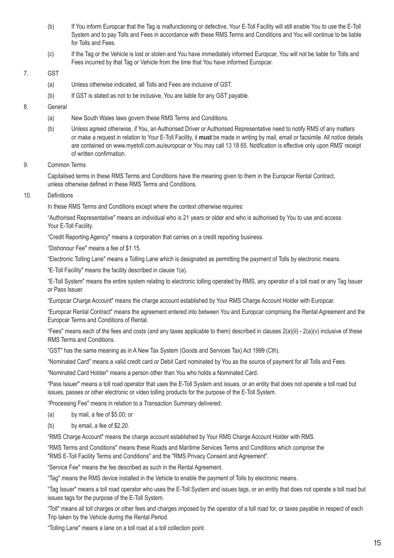- (b) If You inform Europcar that the Tag is malfunctioning or defective, Your E-Toll Facility will still enable You to use the E-Toll System and to pay Tolls and Fees in accordance with these RMS Terms and Conditions and You will continue to be liable for Tolls and Fees.
- (c) If the Tag or the Vehicle is lost or stolen and You have immediately informed Europcar, You will not be liable for Tolls and Fees incurred by that Tag or Vehicle from the time that You have informed Europcar.

# 7. GST

- (a) Unless otherwise indicated, all Tolls and Fees are inclusive of GST.
- (b) If GST is stated as not to be inclusive, You are liable for any GST payable.

# 8. General

- (a) New South Wales laws govern these RMS Terms and Conditions.
- (b) Unless agreed otherwise, if You, an Authorised Driver or Authorised Representative need to notify RMS of any matters or make a request in relation to Your E-Toll Facility, it **must** be made in writing by mail, email or facsimile. All notice details are contained on www.myetoll.com.au/europcar or You may call 13 18 65. Notification is effective only upon RMS' receipt of written confirmation.

### 9. Common Terms

Capitalised terms in these RMS Terms and Conditions have the meaning given to them in the Europcar Rental Contract, unless otherwise defined in these RMS Terms and Conditions.

### 10. Definitions

In these RMS Terms and Conditions except where the context otherwise requires:

"Authorised Representative" means an individual who is 21 years or older and who is authorised by You to use and access Your E-Toll Facility.

"Credit Reporting Agency" means a corporation that carries on a credit reporting business.

"Dishonour Fee" means a fee of \$1.15.

"Electronic Tolling Lane" means a Tolling Lane which is designated as permitting the payment of Tolls by electronic means.

"E-Toll Facility" means the facility described in clause 1(a).

"E-Toll System" means the entire system relating to electronic tolling operated by RMS, any operator of a toll road or any Tag Issuer or Pass Issuer.

"Europcar Charge Account" means the charge account established by Your RMS Charge Account Holder with Europcar.

"Europcar Rental Contract" means the agreement entered into between You and Europcar comprising the Rental Agreement and the Europcar Terms and Conditions of Rental.

"Fees" means each of the fees and costs (and any taxes applicable to them) described in clauses  $2(a)(ii) - 2(a)(v)$  inclusive of these RMS Terms and Conditions.

"GST" has the same meaning as in A New Tax System (Goods and Services Tax) Act 1999 (Cth).

"Nominated Card" means a valid credit card or Debit Card nominated by You as the source of payment for all Tolls and Fees.

"Nominated Card Holder" means a person other than You who holds a Nominated Card.

"Pass Issuer" means a toll road operator that uses the E-Toll System and issues, or an entity that does not operate a toll road but issues, passes or other electronic or video tolling products for the purpose of the E-Toll System.

"Processing Fee" means in relation to a Transaction Summary delivered:

- (a) by mail, a fee of \$5.00; or
- (b) by email, a fee of \$2.20.

"RMS Charge Account" means the charge account established by Your RMS Charge Account Holder with RMS.

"RMS Terms and Conditions" means these Roads and Maritime Services Terms and Conditions which comprise the "RMS E-Toll Facility Terms and Conditions" and the "RMS Privacy Consent and Agreement".

"Service Fee" means the fee described as such in the Rental Agreement.

"Tag" means the RMS device installed in the Vehicle to enable the payment of Tolls by electronic means.

"Tag Issuer" means a toll road operator who uses the E-Toll System and issues tags, or an entity that does not operate a toll road but issues tags for the purpose of the E-Toll System.

"Toll" means all toll charges or other fees and charges imposed by the operator of a toll road for, or taxes payable in respect of each Trip taken by the Vehicle during the Rental Period.

"Tolling Lane" means a lane on a toll road at a toll collection point.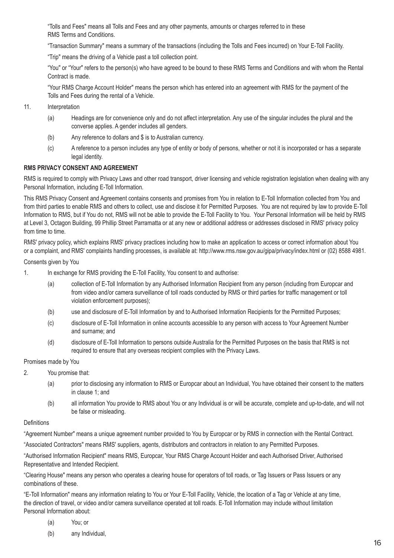"Tolls and Fees" means all Tolls and Fees and any other payments, amounts or charges referred to in these RMS Terms and Conditions.

"Transaction Summary" means a summary of the transactions (including the Tolls and Fees incurred) on Your E-Toll Facility.

"Trip" means the driving of a Vehicle past a toll collection point.

"You" or "Your" refers to the person(s) who have agreed to be bound to these RMS Terms and Conditions and with whom the Rental Contract is made.

"Your RMS Charge Account Holder" means the person which has entered into an agreement with RMS for the payment of the Tolls and Fees during the rental of a Vehicle.

- 11. Interpretation
	- (a) Headings are for convenience only and do not affect interpretation. Any use of the singular includes the plural and the converse applies. A gender includes all genders.
	- (b) Any reference to dollars and \$ is to Australian currency.
	- (c) A reference to a person includes any type of entity or body of persons, whether or not it is incorporated or has a separate legal identity.

# **RMS PRIVACY CONSENT AND AGREEMENT**

RMS is required to comply with Privacy Laws and other road transport, driver licensing and vehicle registration legislation when dealing with any Personal Information, including E-Toll Information.

This RMS Privacy Consent and Agreement contains consents and promises from You in relation to E-Toll Information collected from You and from third parties to enable RMS and others to collect, use and disclose it for Permitted Purposes. You are not required by law to provide E-Toll Information to RMS, but if You do not, RMS will not be able to provide the E-Toll Facility to You. Your Personal Information will be held by RMS at Level 3, Octagon Building, 99 Phillip Street Parramatta or at any new or additional address or addresses disclosed in RMS' privacy policy from time to time.

RMS' privacy policy, which explains RMS' privacy practices including how to make an application to access or correct information about You or a complaint, and RMS' complaints handling processes, is available at: http://www.rms.nsw.gov.au/gipa/privacy/index.html or (02) 8588 4981.

### Consents given by You

- 1. In exchange for RMS providing the E-Toll Facility, You consent to and authorise:
	- (a) collection of E-Toll Information by any Authorised Information Recipient from any person (including from Europcar and from video and/or camera surveillance of toll roads conducted by RMS or third parties for traffic management or toll violation enforcement purposes);
	- (b) use and disclosure of E-Toll Information by and to Authorised Information Recipients for the Permitted Purposes;
	- (c) disclosure of E-Toll Information in online accounts accessible to any person with access to Your Agreement Number and surname; and
	- (d) disclosure of E-Toll Information to persons outside Australia for the Permitted Purposes on the basis that RMS is not required to ensure that any overseas recipient complies with the Privacy Laws.

Promises made by You

- 2. You promise that:
	- (a) prior to disclosing any information to RMS or Europcar about an Individual, You have obtained their consent to the matters in clause 1; and
	- (b) all information You provide to RMS about You or any Individual is or will be accurate, complete and up-to-date, and will not be false or misleading.

### **Definitions**

"Agreement Number" means a unique agreement number provided to You by Europcar or by RMS in connection with the Rental Contract.

"Associated Contractors" means RMS' suppliers, agents, distributors and contractors in relation to any Permitted Purposes.

"Authorised Information Recipient" means RMS, Europcar, Your RMS Charge Account Holder and each Authorised Driver, Authorised Representative and Intended Recipient.

"Clearing House" means any person who operates a clearing house for operators of toll roads, or Tag Issuers or Pass Issuers or any combinations of these.

"E-Toll Information" means any information relating to You or Your E-Toll Facility, Vehicle, the location of a Tag or Vehicle at any time, the direction of travel, or video and/or camera surveillance operated at toll roads. E-Toll Information may include without limitation Personal Information about:

(a) You; or

(b) any Individual,